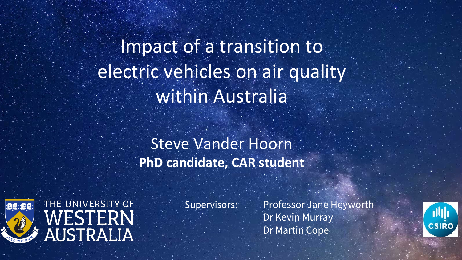Supervisors: Professor Jane Heyworth-Dr Kevin Murray Dr Martin Cope



Impact of a transition to electric vehicles on air quality within Australia

Steve Vander Hoorn **PhD candidate, CAR student**



## THE UNIVERSITY OF WESTERN<br>AUSTRALIA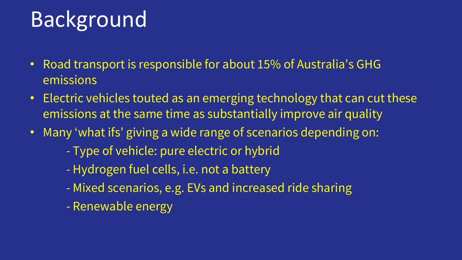# Background

- Road transport is responsible for about 15% of Australia's GHG emissions
- Electric vehicles touted as an emerging technology that can cut these emissions at the same time as substantially improve air quality
- Many 'what ifs' giving a wide range of scenarios depending on:
	- Type of vehicle: pure electric or hybrid
	- Hydrogen fuel cells, i.e. not a battery
	- Mixed scenarios, e.g. EVs and increased ride sharing
	- Renewable energy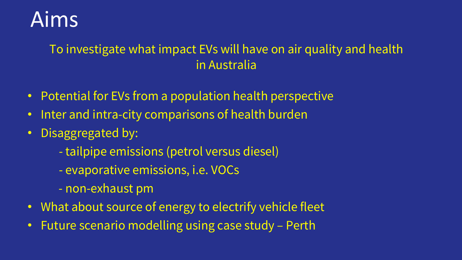

To investigate what impact EVs will have on air quality and health in Australia

- Potential for EVs from a population health perspective
- Inter and intra-city comparisons of health burden
- Disaggregated by:
	- tailpipe emissions (petrol versus diesel)
	- evaporative emissions, i.e. VOCs

- What about source of energy to electrify vehicle fleet
- Future scenario modelling using case study Perth

- non-exhaust pm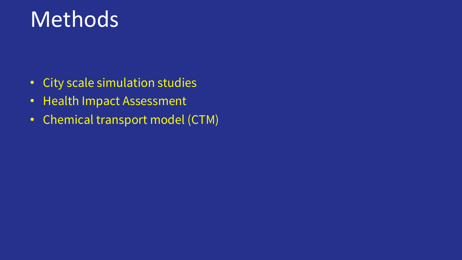## Methods

- City scale simulation studies
- Health Impact Assessment
- Chemical transport model (CTM)

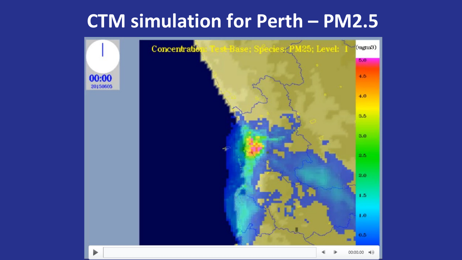### **CTM simulation for Perth – PM2.5**

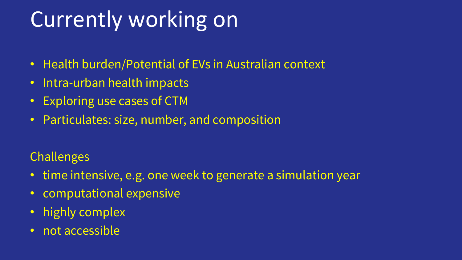# Currently working on

- Health burden/Potential of EVs in Australian context
- Intra-urban health impacts
- Exploring use cases of CTM
- Particulates: size, number, and composition

### Challenges

- time intensive, e.g. one week to generate a simulation year
- computational expensive
- highly complex
- not accessible